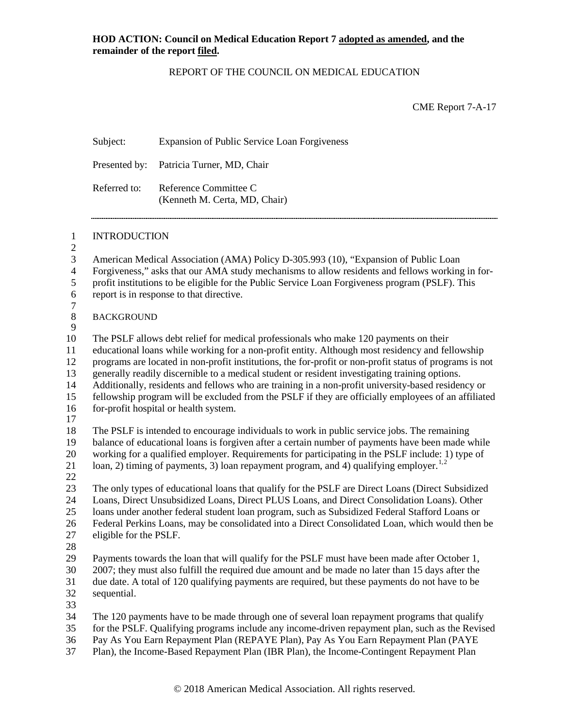## REPORT OF THE COUNCIL ON MEDICAL EDUCATION

CME Report 7-A-17

|                                                                        | Subject:                                                                                                                                                                                                                                                                                                                                                                                                                                                                                                                                                                                                                                                   | Expansion of Public Service Loan Forgiveness                                                                                                                                                                                                                                                                                                                                                              |  |
|------------------------------------------------------------------------|------------------------------------------------------------------------------------------------------------------------------------------------------------------------------------------------------------------------------------------------------------------------------------------------------------------------------------------------------------------------------------------------------------------------------------------------------------------------------------------------------------------------------------------------------------------------------------------------------------------------------------------------------------|-----------------------------------------------------------------------------------------------------------------------------------------------------------------------------------------------------------------------------------------------------------------------------------------------------------------------------------------------------------------------------------------------------------|--|
|                                                                        | Presented by:                                                                                                                                                                                                                                                                                                                                                                                                                                                                                                                                                                                                                                              | Patricia Turner, MD, Chair                                                                                                                                                                                                                                                                                                                                                                                |  |
|                                                                        | Referred to:                                                                                                                                                                                                                                                                                                                                                                                                                                                                                                                                                                                                                                               | Reference Committee C<br>(Kenneth M. Certa, MD, Chair)                                                                                                                                                                                                                                                                                                                                                    |  |
| $\mathbf{1}$                                                           | <b>INTRODUCTION</b>                                                                                                                                                                                                                                                                                                                                                                                                                                                                                                                                                                                                                                        |                                                                                                                                                                                                                                                                                                                                                                                                           |  |
| $\overline{c}$<br>3<br>$\overline{\mathbf{4}}$<br>5<br>6<br>$\sqrt{ }$ | American Medical Association (AMA) Policy D-305.993 (10), "Expansion of Public Loan<br>Forgiveness," asks that our AMA study mechanisms to allow residents and fellows working in for-<br>profit institutions to be eligible for the Public Service Loan Forgiveness program (PSLF). This<br>report is in response to that directive.                                                                                                                                                                                                                                                                                                                      |                                                                                                                                                                                                                                                                                                                                                                                                           |  |
| $\,8\,$<br>9                                                           | <b>BACKGROUND</b>                                                                                                                                                                                                                                                                                                                                                                                                                                                                                                                                                                                                                                          |                                                                                                                                                                                                                                                                                                                                                                                                           |  |
| 10<br>11<br>12<br>13<br>14<br>15<br>16<br>17                           | The PSLF allows debt relief for medical professionals who make 120 payments on their<br>educational loans while working for a non-profit entity. Although most residency and fellowship<br>programs are located in non-profit institutions, the for-profit or non-profit status of programs is not<br>generally readily discernible to a medical student or resident investigating training options.<br>Additionally, residents and fellows who are training in a non-profit university-based residency or<br>fellowship program will be excluded from the PSLF if they are officially employees of an affiliated<br>for-profit hospital or health system. |                                                                                                                                                                                                                                                                                                                                                                                                           |  |
| 18<br>19<br>20<br>21<br>22                                             |                                                                                                                                                                                                                                                                                                                                                                                                                                                                                                                                                                                                                                                            | The PSLF is intended to encourage individuals to work in public service jobs. The remaining<br>balance of educational loans is forgiven after a certain number of payments have been made while<br>working for a qualified employer. Requirements for participating in the PSLF include: 1) type of<br>loan, 2) timing of payments, 3) loan repayment program, and 4) qualifying employer. <sup>1,2</sup> |  |
| 23<br>24<br>25<br>26<br>27<br>28                                       | The only types of educational loans that qualify for the PSLF are Direct Loans (Direct Subsidized<br>Loans, Direct Unsubsidized Loans, Direct PLUS Loans, and Direct Consolidation Loans). Other<br>loans under another federal student loan program, such as Subsidized Federal Stafford Loans or<br>Federal Perkins Loans, may be consolidated into a Direct Consolidated Loan, which would then be<br>eligible for the PSLF.                                                                                                                                                                                                                            |                                                                                                                                                                                                                                                                                                                                                                                                           |  |
| 29<br>30<br>31<br>32                                                   | sequential.                                                                                                                                                                                                                                                                                                                                                                                                                                                                                                                                                                                                                                                | Payments towards the loan that will qualify for the PSLF must have been made after October 1,<br>2007; they must also fulfill the required due amount and be made no later than 15 days after the<br>due date. A total of 120 qualifying payments are required, but these payments do not have to be                                                                                                      |  |
| 33<br>34<br>35<br>36<br>37                                             |                                                                                                                                                                                                                                                                                                                                                                                                                                                                                                                                                                                                                                                            | The 120 payments have to be made through one of several loan repayment programs that qualify<br>for the PSLF. Qualifying programs include any income-driven repayment plan, such as the Revised<br>Pay As You Earn Repayment Plan (REPAYE Plan), Pay As You Earn Repayment Plan (PAYE<br>Plan), the Income-Based Repayment Plan (IBR Plan), the Income-Contingent Repayment Plan                          |  |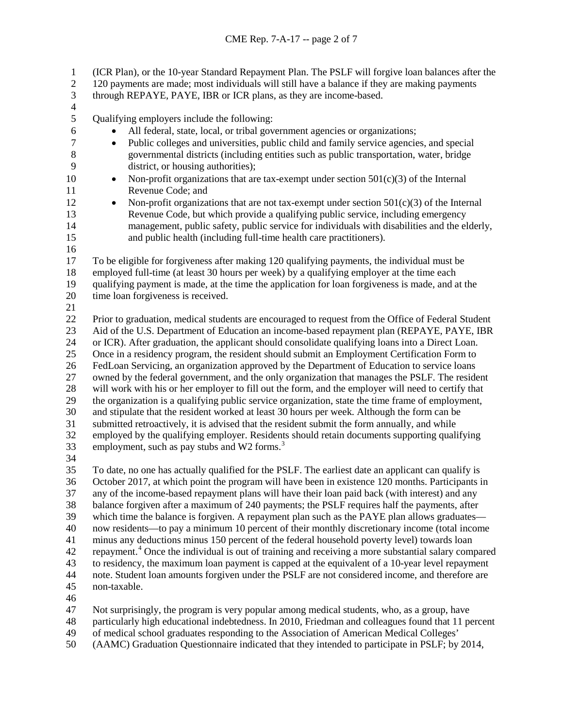(ICR Plan), or the 10-year Standard Repayment Plan. The PSLF will forgive loan balances after the 2 120 payments are made; most individuals will still have a balance if they are making payments

through REPAYE, PAYE, IBR or ICR plans, as they are income-based.

 $\frac{4}{5}$ 

Qualifying employers include the following:

- All federal, state, local, or tribal government agencies or organizations;
- Public colleges and universities, public child and family service agencies, and special governmental districts (including entities such as public transportation, water, bridge district, or housing authorities);
- 10 Non-profit organizations that are tax-exempt under section  $501(c)(3)$  of the Internal Revenue Code; and
- 
- 12 Non-profit organizations that are not tax-exempt under section  $501(c)(3)$  of the Internal Revenue Code, but which provide a qualifying public service, including emergency 14 management, public safety, public service for individuals with disabilities and the elderly,<br>15 and public health (including full-time health care practitioners). and public health (including full-time health care practitioners).
- -

 To be eligible for forgiveness after making 120 qualifying payments, the individual must be employed full-time (at least 30 hours per week) by a qualifying employer at the time each qualifying payment is made, at the time the application for loan forgiveness is made, and at the time loan forgiveness is received.

22 Prior to graduation, medical students are encouraged to request from the Office of Federal Student<br>23 Aid of the U.S. Department of Education an income-based repayment plan (REPAYE, PAYE, IBR Aid of the U.S. Department of Education an income-based repayment plan (REPAYE, PAYE, IBR or ICR). After graduation, the applicant should consolidate qualifying loans into a Direct Loan. Once in a residency program, the resident should submit an Employment Certification Form to FedLoan Servicing, an organization approved by the Department of Education to service loans owned by the federal government, and the only organization that manages the PSLF. The resident will work with his or her employer to fill out the form, and the employer will need to certify that the organization is a qualifying public service organization, state the time frame of employment, and stipulate that the resident worked at least 30 hours per week. Although the form can be submitted retroactively, it is advised that the resident submit the form annually, and while employed by the qualifying employer. Residents should retain documents supporting qualifying 3 employment, such as pay stubs and W2 forms.<sup>3</sup> 

 To date, no one has actually qualified for the PSLF. The earliest date an applicant can qualify is October 2017, at which point the program will have been in existence 120 months. Participants in any of the income-based repayment plans will have their loan paid back (with interest) and any balance forgiven after a maximum of 240 payments; the PSLF requires half the payments, after which time the balance is forgiven. A repayment plan such as the PAYE plan allows graduates— now residents—to pay a minimum 10 percent of their monthly discretionary income (total income minus any deductions minus 150 percent of the federal household poverty level) towards loan repayment.[4](#page-6-3) Once the individual is out of training and receiving a more substantial salary compared to residency, the maximum loan payment is capped at the equivalent of a 10-year level repayment note. Student loan amounts forgiven under the PSLF are not considered income, and therefore are non-taxable. 

- Not surprisingly, the program is very popular among medical students, who, as a group, have
- particularly high educational indebtedness. In 2010, Friedman and colleagues found that 11 percent
- of medical school graduates responding to the Association of American Medical Colleges'
- (AAMC) Graduation Questionnaire indicated that they intended to participate in PSLF; by 2014,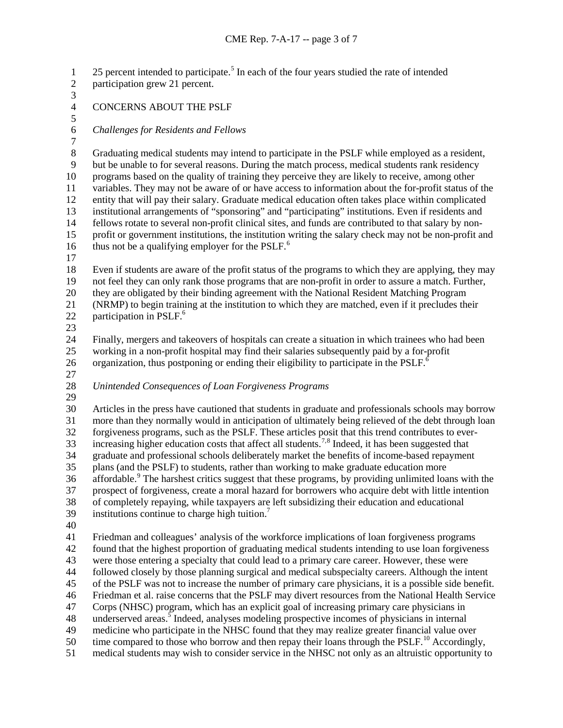1 2[5](#page-6-4) percent intended to participate.<sup>5</sup> In each of the four years studied the rate of intended participation grew 21 percent.

- 3<br>4
- CONCERNS ABOUT THE PSLF
- 

*Challenges for Residents and Fellows*

 $\frac{7}{8}$ Graduating medical students may intend to participate in the PSLF while employed as a resident, but be unable to for several reasons. During the match process, medical students rank residency programs based on the quality of training they perceive they are likely to receive, among other variables. They may not be aware of or have access to information about the for-profit status of the entity that will pay their salary. Graduate medical education often takes place within complicated 13 institutional arrangements of "sponsoring" and "participating" institutions. Even if residents and<br>14 fellows rotate to several non-profit clinical sites, and funds are contributed to that salary by nonfellows rotate to several non-profit clinical sites, and funds are contributed to that salary by non- profit or government institutions, the institution writing the salary check may not be non-profit and [6](#page-6-5) thus not be a qualifying employer for the PSLF.<sup>6</sup>

 Even if students are aware of the profit status of the programs to which they are applying, they may not feel they can only rank those programs that are non-profit in order to assure a match. Further, they are obligated by their binding agreement with the National Resident Matching Program (NRMP) to begin training at the institution to which they are matched, even if it precludes their 22 participation in PSLF. $<sup>6</sup>$ </sup>

 Finally, mergers and takeovers of hospitals can create a situation in which trainees who had been working in a non-profit hospital may find their salaries subsequently paid by a for-profit 26 organization, thus postponing or ending their eligibility to participate in the  $PSLF<sup>6</sup>$ .

- 
- *Unintended Consequences of Loan Forgiveness Programs*
- 

 Articles in the press have cautioned that students in graduate and professionals schools may borrow more than they normally would in anticipation of ultimately being relieved of the debt through loan forgiveness programs, such as the PSLF. These articles posit that this trend contributes to ever-33 increasing higher education costs that affect all students.<sup>[7](#page-6-6),[8](#page-6-7)</sup> Indeed, it has been suggested that graduate and professional schools deliberately market the benefits of income-based repayment plans (and the PSLF) to students, rather than working to make graduate education more 36 affordable.<sup>[9](#page-6-8)</sup> The harshest critics suggest that these programs, by providing unlimited loans with the prospect of forgiveness, create a moral hazard for borrowers who acquire debt with little intention of completely repaying, while taxpayers are left subsidizing their education and educational 39 institutions continue to charge high tuition.<sup>7</sup>

 Friedman and colleagues' analysis of the workforce implications of loan forgiveness programs found that the highest proportion of graduating medical students intending to use loan forgiveness were those entering a specialty that could lead to a primary care career. However, these were followed closely by those planning surgical and medical subspecialty careers. Although the intent of the PSLF was not to increase the number of primary care physicians, it is a possible side benefit. Friedman et al. raise concerns that the PSLF may divert resources from the National Health Service Corps (NHSC) program, which has an explicit goal of increasing primary care physicians in 48 underserved areas.<sup>5</sup> Indeed, analyses modeling prospective incomes of physicians in internal medicine who participate in the NHSC found that they may realize greater financial value over 50 time compared to those who borrow and then repay their loans through the PSLF.<sup>[10](#page-6-9)</sup> Accordingly, medical students may wish to consider service in the NHSC not only as an altruistic opportunity to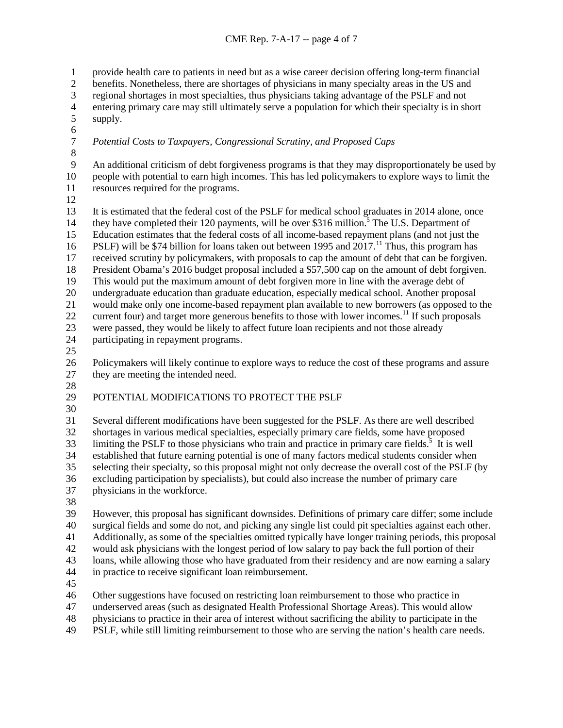## CME Rep. 7-A-17 -- page 4 of 7

provide health care to patients in need but as a wise career decision offering long-term financial

benefits. Nonetheless, there are shortages of physicians in many specialty areas in the US and

3 regional shortages in most specialties, thus physicians taking advantage of the PSLF and not<br>4 entering primary care may still ultimately serve a population for which their specialty is in sh

- 4 entering primary care may still ultimately serve a population for which their specialty is in short supply. supply.
- 6<br>7
- *Potential Costs to Taxpayers, Congressional Scrutiny, and Proposed Caps*
- 8<br>9

 An additional criticism of debt forgiveness programs is that they may disproportionately be used by people with potential to earn high incomes. This has led policymakers to explore ways to limit the resources required for the programs.

13 It is estimated that the federal cost of the PSLF for medical school graduates in 2014 alone, once<br>14 they have completed their 120 payments, will be over \$316 million.<sup>5</sup> The U.S. Department of they have completed their 120 payments, will be over \$316 million.<sup>5</sup> The U.S. Department of Education estimates that the federal costs of all income-based repayment plans (and not just the 16 PSLF) will be \$74 billion for loans taken out between 1995 and .<sup>[11](#page-6-10)</sup> Thus, this program has

received scrutiny by policymakers, with proposals to cap the amount of debt that can be forgiven.

President Obama's 2016 budget proposal included a \$57,500 cap on the amount of debt forgiven.

This would put the maximum amount of debt forgiven more in line with the average debt of

undergraduate education than graduate education, especially medical school. Another proposal

would make only one income-based repayment plan available to new borrowers (as opposed to the

22 current four) and target more generous benefits to those with lower incomes.<sup>11</sup> If such proposals

 were passed, they would be likely to affect future loan recipients and not those already participating in repayment programs.

 Policymakers will likely continue to explore ways to reduce the cost of these programs and assure they are meeting the intended need.

## POTENTIAL MODIFICATIONS TO PROTECT THE PSLF

 Several different modifications have been suggested for the PSLF. As there are well described shortages in various medical specialties, especially primary care fields, some have proposed  $\frac{1}{33}$  limiting the PSLF to those physicians who train and practice in primary care fields.<sup>5</sup> It is well established that future earning potential is one of many factors medical students consider when selecting their specialty, so this proposal might not only decrease the overall cost of the PSLF (by excluding participation by specialists), but could also increase the number of primary care physicians in the workforce.

However, this proposal has significant downsides. Definitions of primary care differ; some include

surgical fields and some do not, and picking any single list could pit specialties against each other.

Additionally, as some of the specialties omitted typically have longer training periods, this proposal

would ask physicians with the longest period of low salary to pay back the full portion of their

 loans, while allowing those who have graduated from their residency and are now earning a salary in practice to receive significant loan reimbursement.

Other suggestions have focused on restricting loan reimbursement to those who practice in

underserved areas (such as designated Health Professional Shortage Areas). This would allow

physicians to practice in their area of interest without sacrificing the ability to participate in the

PSLF, while still limiting reimbursement to those who are serving the nation's health care needs.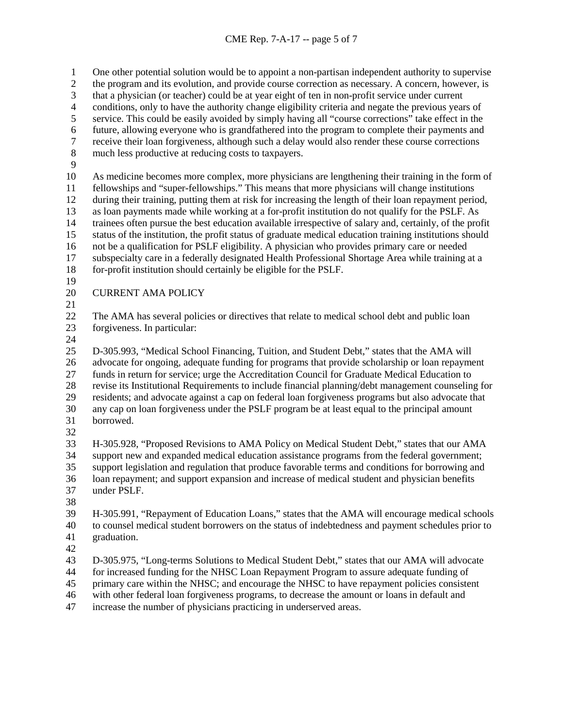One other potential solution would be to appoint a non-partisan independent authority to supervise the program and its evolution, and provide course correction as necessary. A concern, however, is 3 that a physician (or teacher) could be at year eight of ten in non-profit service under current<br>4 conditions, only to have the authority change eligibility criteria and negate the previous year 4 conditions, only to have the authority change eligibility criteria and negate the previous years of service. This could be easily avoided by simply having all "course corrections" take effect in the service. This could be easily avoided by simply having all "course corrections" take effect in the future, allowing everyone who is grandfathered into the program to complete their payments and 7 receive their loan forgiveness, although such a delay would also render these course corrections<br>8 much less productive at reducing costs to taxpayers. much less productive at reducing costs to taxpayers. As medicine becomes more complex, more physicians are lengthening their training in the form of fellowships and "super-fellowships." This means that more physicians will change institutions during their training, putting them at risk for increasing the length of their loan repayment period, 13 as loan payments made while working at a for-profit institution do not qualify for the PSLF. As<br>14 trainees often pursue the best education available irrespective of salary and, certainly, of the pro trainees often pursue the best education available irrespective of salary and, certainly, of the profit status of the institution, the profit status of graduate medical education training institutions should not be a qualification for PSLF eligibility. A physician who provides primary care or needed subspecialty care in a federally designated Health Professional Shortage Area while training at a

- for-profit institution should certainly be eligible for the PSLF.
- 
- CURRENT AMA POLICY
- 
- The AMA has several policies or directives that relate to medical school debt and public loan forgiveness. In particular:
- 

 D-305.993, "Medical School Financing, Tuition, and Student Debt," states that the AMA will advocate for ongoing, adequate funding for programs that provide scholarship or loan repayment funds in return for service; urge the Accreditation Council for Graduate Medical Education to revise its Institutional Requirements to include financial planning/debt management counseling for residents; and advocate against a cap on federal loan forgiveness programs but also advocate that any cap on loan forgiveness under the PSLF program be at least equal to the principal amount borrowed. 

 H-305.928, "Proposed Revisions to AMA Policy on Medical Student Debt," states that our AMA support new and expanded medical education assistance programs from the federal government; support legislation and regulation that produce favorable terms and conditions for borrowing and loan repayment; and support expansion and increase of medical student and physician benefits under PSLF.

 H-305.991, "Repayment of Education Loans," states that the AMA will encourage medical schools to counsel medical student borrowers on the status of indebtedness and payment schedules prior to graduation.

D-305.975, "Long-terms Solutions to Medical Student Debt," states that our AMA will advocate

for increased funding for the NHSC Loan Repayment Program to assure adequate funding of

primary care within the NHSC; and encourage the NHSC to have repayment policies consistent

with other federal loan forgiveness programs, to decrease the amount or loans in default and

increase the number of physicians practicing in underserved areas.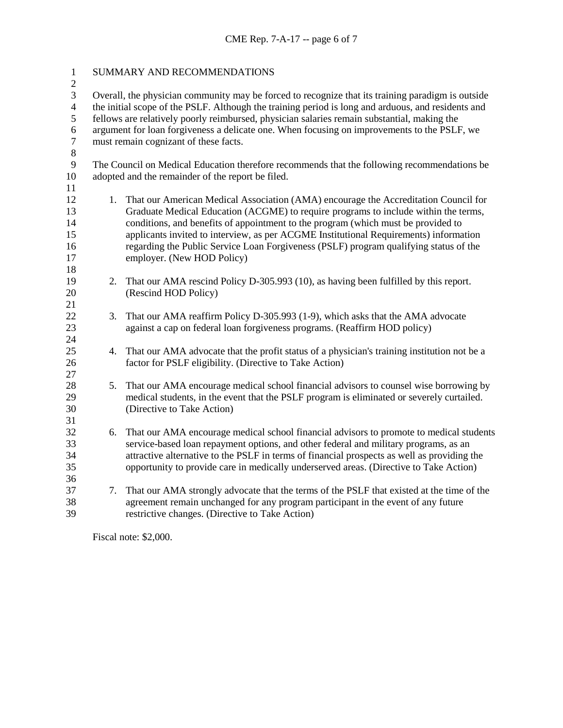| SUMMARY AND RECOMMENDATIONS                                                                        |                                                                                                                                                             |  |
|----------------------------------------------------------------------------------------------------|-------------------------------------------------------------------------------------------------------------------------------------------------------------|--|
| Overall, the physician community may be forced to recognize that its training paradigm is outside  |                                                                                                                                                             |  |
| the initial scope of the PSLF. Although the training period is long and arduous, and residents and |                                                                                                                                                             |  |
| fellows are relatively poorly reimbursed, physician salaries remain substantial, making the        |                                                                                                                                                             |  |
| argument for loan forgiveness a delicate one. When focusing on improvements to the PSLF, we        |                                                                                                                                                             |  |
| must remain cognizant of these facts.                                                              |                                                                                                                                                             |  |
|                                                                                                    |                                                                                                                                                             |  |
| The Council on Medical Education therefore recommends that the following recommendations be        |                                                                                                                                                             |  |
| adopted and the remainder of the report be filed.                                                  |                                                                                                                                                             |  |
|                                                                                                    |                                                                                                                                                             |  |
|                                                                                                    | 1. That our American Medical Association (AMA) encourage the Accreditation Council for                                                                      |  |
|                                                                                                    | Graduate Medical Education (ACGME) to require programs to include within the terms,                                                                         |  |
|                                                                                                    | conditions, and benefits of appointment to the program (which must be provided to                                                                           |  |
|                                                                                                    | applicants invited to interview, as per ACGME Institutional Requirements) information                                                                       |  |
|                                                                                                    | regarding the Public Service Loan Forgiveness (PSLF) program qualifying status of the                                                                       |  |
|                                                                                                    | employer. (New HOD Policy)                                                                                                                                  |  |
|                                                                                                    |                                                                                                                                                             |  |
|                                                                                                    | That our AMA rescind Policy D-305.993 (10), as having been fulfilled by this report.                                                                        |  |
|                                                                                                    | (Rescind HOD Policy)                                                                                                                                        |  |
|                                                                                                    |                                                                                                                                                             |  |
|                                                                                                    | That our AMA reaffirm Policy D-305.993 (1-9), which asks that the AMA advocate<br>against a cap on federal loan forgiveness programs. (Reaffirm HOD policy) |  |
|                                                                                                    |                                                                                                                                                             |  |
|                                                                                                    | That our AMA advocate that the profit status of a physician's training institution not be a                                                                 |  |
|                                                                                                    | factor for PSLF eligibility. (Directive to Take Action)                                                                                                     |  |
|                                                                                                    |                                                                                                                                                             |  |
|                                                                                                    | That our AMA encourage medical school financial advisors to counsel wise borrowing by                                                                       |  |
|                                                                                                    | medical students, in the event that the PSLF program is eliminated or severely curtailed.                                                                   |  |
|                                                                                                    | (Directive to Take Action)                                                                                                                                  |  |
|                                                                                                    |                                                                                                                                                             |  |
|                                                                                                    | That our AMA encourage medical school financial advisors to promote to medical students                                                                     |  |
|                                                                                                    | service-based loan repayment options, and other federal and military programs, as an                                                                        |  |
|                                                                                                    | attractive alternative to the PSLF in terms of financial prospects as well as providing the                                                                 |  |
|                                                                                                    | opportunity to provide care in medically underserved areas. (Directive to Take Action)                                                                      |  |
|                                                                                                    |                                                                                                                                                             |  |
|                                                                                                    | 7. That our AMA strongly advocate that the terms of the PSLF that existed at the time of the                                                                |  |
|                                                                                                    | agreement remain unchanged for any program participant in the event of any future                                                                           |  |
|                                                                                                    | restrictive changes. (Directive to Take Action)                                                                                                             |  |
|                                                                                                    | 2.<br>3.<br>4.<br>5.<br>6.                                                                                                                                  |  |

Fiscal note: \$2,000.